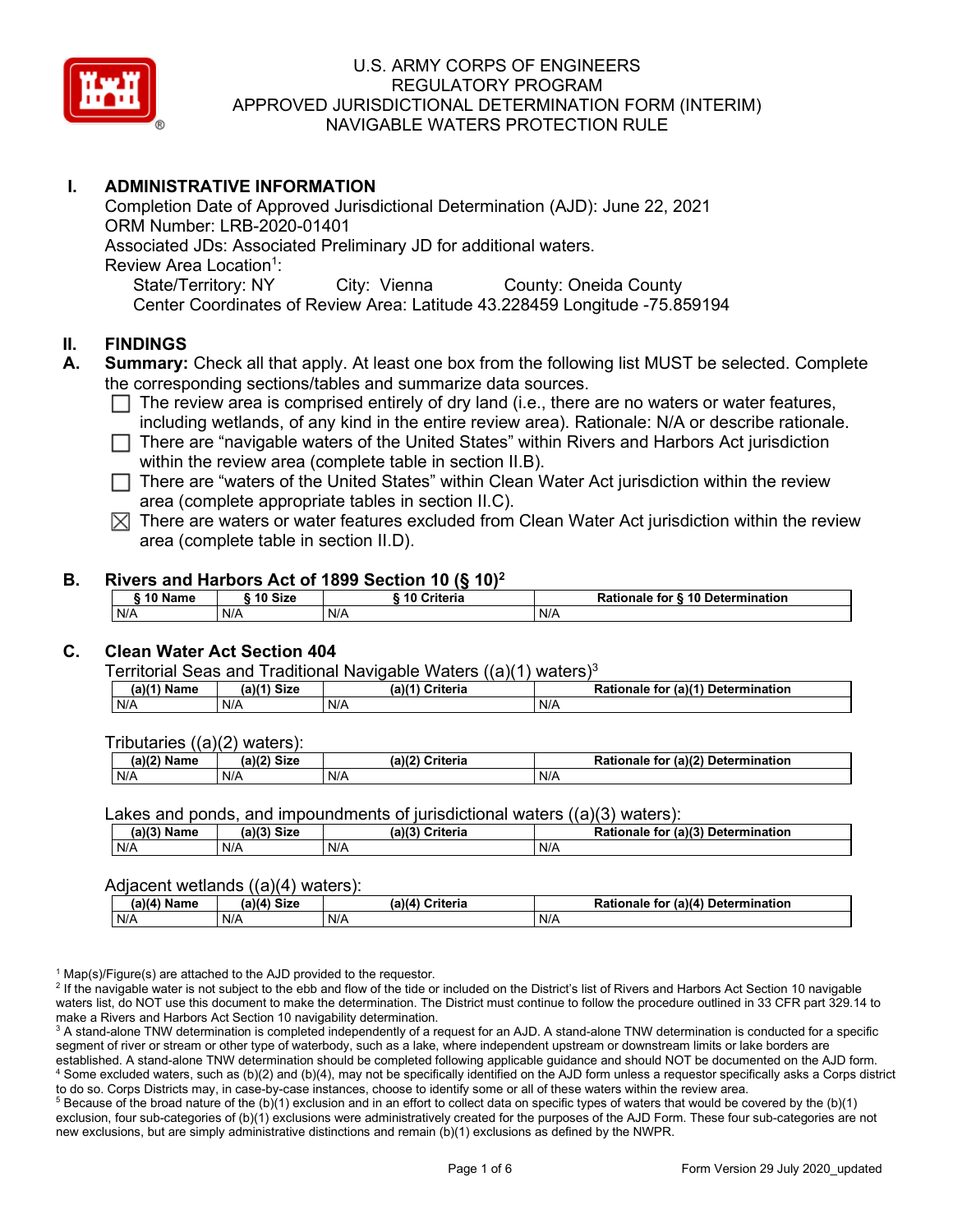

# **I. ADMINISTRATIVE INFORMATION**

Completion Date of Approved Jurisdictional Determination (AJD): June 22, 2021 ORM Number: LRB-2020-01401 Associated JDs: Associated Preliminary JD for additional waters. Review Area Location<sup>1</sup>: State/Territory: NY City: Vienna County: Oneida County Center Coordinates of Review Area: Latitude 43.228459 Longitude -75.859194

## **II. FINDINGS**

- **A. Summary:** Check all that apply. At least one box from the following list MUST be selected. Complete the corresponding sections/tables and summarize data sources.
	- $\Box$  The review area is comprised entirely of dry land (i.e., there are no waters or water features, including wetlands, of any kind in the entire review area). Rationale: N/A or describe rationale.
	- $\Box$  There are "navigable waters of the United States" within Rivers and Harbors Act jurisdiction within the review area (complete table in section II.B).
	- $\Box$  There are "waters of the United States" within Clean Water Act jurisdiction within the review area (complete appropriate tables in section II.C).
	- $\boxtimes$  There are waters or water features excluded from Clean Water Act jurisdiction within the review area (complete table in section II.D).

### **B. Rivers and Harbors Act of 1899 Section 10 (§ 10)2**

|     | ົ 10 Name |     | ົ 10 Size | Criteria<br>. 1 U |     | Rationale for § 10 Determination |  |  |
|-----|-----------|-----|-----------|-------------------|-----|----------------------------------|--|--|
| N/A |           | N/A |           | N/A               | N/A |                                  |  |  |

# **C. Clean Water Act Section 404**

Territorial Seas and Traditional Navigable Waters  $((a)(1)$  waters)<sup>3</sup>

| $(a)(1)$ .<br>Name | $(a)$ $(4)$<br>Size | (a)<br>Criteria | (a)(1) Determination<br>Rationale<br>for |
|--------------------|---------------------|-----------------|------------------------------------------|
| N/A                | N/A                 | N/A             | N/A                                      |

Tributaries ((a)(2) waters):

| н   | $\sim$<br>$\sim$ Cime<br>JILE | 21/2<br><br>пе | (2)<br><b>Determination</b><br>TOI<br>naie |
|-----|-------------------------------|----------------|--------------------------------------------|
| N/A | N/A                           | N/A            | N/A                                        |

Lakes and ponds, and impoundments of jurisdictional waters ((a)(3) waters):

| (a)(3) Name | $(a)(3)$ Size | (a)(?') | Criteria | Rationale | (2)<br><b>Determination</b><br>. for |
|-------------|---------------|---------|----------|-----------|--------------------------------------|
| N/A         | N/A           | N/A     |          | N/A       |                                      |

#### Adjacent wetlands ((a)(4) waters):

|               | .           | .               |                                    |
|---------------|-------------|-----------------|------------------------------------|
| $(a)(4)$ Name | (a)(4) Size | (a)(4) Criteria | Rationale for (a)(4) Determination |
| N/A           | N/f         | N/A             | N/A                                |

 $1$  Map(s)/Figure(s) are attached to the AJD provided to the requestor.

<sup>2</sup> If the navigable water is not subject to the ebb and flow of the tide or included on the District's list of Rivers and Harbors Act Section 10 navigable waters list, do NOT use this document to make the determination. The District must continue to follow the procedure outlined in 33 CFR part 329.14 to make a Rivers and Harbors Act Section 10 navigability determination.

<sup>3</sup> A stand-alone TNW determination is completed independently of a request for an AJD. A stand-alone TNW determination is conducted for a specific segment of river or stream or other type of waterbody, such as a lake, where independent upstream or downstream limits or lake borders are established. A stand-alone TNW determination should be completed following applicable guidance and should NOT be documented on the AJD form. <sup>4</sup> Some excluded waters, such as (b)(2) and (b)(4), may not be specifically identified on the AJD form unless a requestor specifically asks a Corps district to do so. Corps Districts may, in case-by-case instances, choose to identify some or all of these waters within the review area.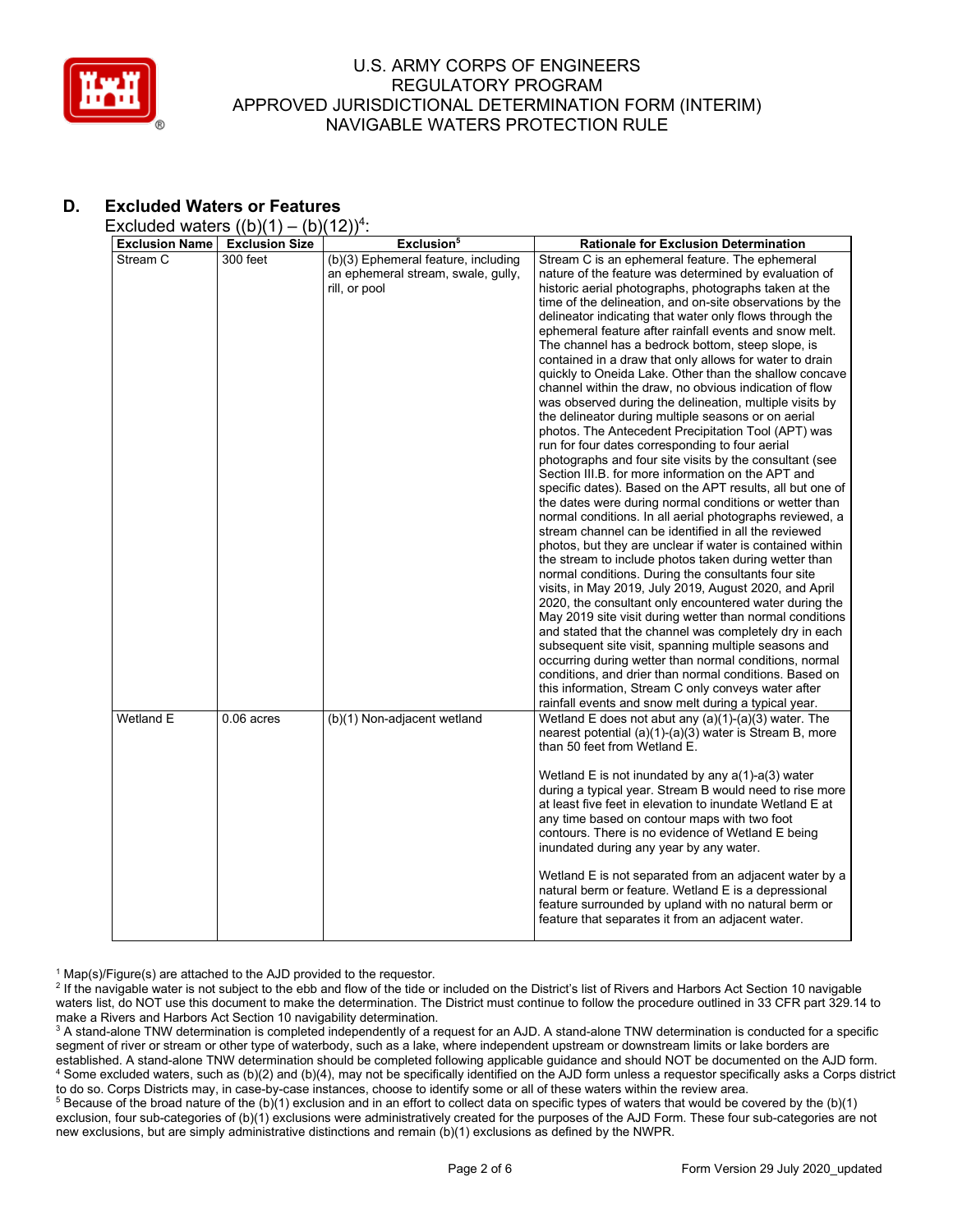

# **D. Excluded Waters or Features**

Excluded waters  $((b)(1) - (b)(12))^4$ :

| <b>Exclusion Name</b> | - \\~ /\ · /<br><b>Exclusion Size</b> | (2)<br>Exclusion <sup>5</sup>       | <b>Rationale for Exclusion Determination</b>              |
|-----------------------|---------------------------------------|-------------------------------------|-----------------------------------------------------------|
|                       |                                       |                                     |                                                           |
| Stream C              | 300 feet                              | (b)(3) Ephemeral feature, including | Stream C is an ephemeral feature. The ephemeral           |
|                       |                                       | an ephemeral stream, swale, gully,  | nature of the feature was determined by evaluation of     |
|                       |                                       | rill, or pool                       | historic aerial photographs, photographs taken at the     |
|                       |                                       |                                     | time of the delineation, and on-site observations by the  |
|                       |                                       |                                     | delineator indicating that water only flows through the   |
|                       |                                       |                                     | ephemeral feature after rainfall events and snow melt.    |
|                       |                                       |                                     | The channel has a bedrock bottom, steep slope, is         |
|                       |                                       |                                     | contained in a draw that only allows for water to drain   |
|                       |                                       |                                     | quickly to Oneida Lake. Other than the shallow concave    |
|                       |                                       |                                     | channel within the draw, no obvious indication of flow    |
|                       |                                       |                                     | was observed during the delineation, multiple visits by   |
|                       |                                       |                                     | the delineator during multiple seasons or on aerial       |
|                       |                                       |                                     | photos. The Antecedent Precipitation Tool (APT) was       |
|                       |                                       |                                     | run for four dates corresponding to four aerial           |
|                       |                                       |                                     | photographs and four site visits by the consultant (see   |
|                       |                                       |                                     | Section III.B. for more information on the APT and        |
|                       |                                       |                                     | specific dates). Based on the APT results, all but one of |
|                       |                                       |                                     | the dates were during normal conditions or wetter than    |
|                       |                                       |                                     | normal conditions. In all aerial photographs reviewed, a  |
|                       |                                       |                                     | stream channel can be identified in all the reviewed      |
|                       |                                       |                                     |                                                           |
|                       |                                       |                                     | photos, but they are unclear if water is contained within |
|                       |                                       |                                     | the stream to include photos taken during wetter than     |
|                       |                                       |                                     | normal conditions. During the consultants four site       |
|                       |                                       |                                     | visits, in May 2019, July 2019, August 2020, and April    |
|                       |                                       |                                     | 2020, the consultant only encountered water during the    |
|                       |                                       |                                     | May 2019 site visit during wetter than normal conditions  |
|                       |                                       |                                     | and stated that the channel was completely dry in each    |
|                       |                                       |                                     | subsequent site visit, spanning multiple seasons and      |
|                       |                                       |                                     | occurring during wetter than normal conditions, normal    |
|                       |                                       |                                     | conditions, and drier than normal conditions. Based on    |
|                       |                                       |                                     | this information, Stream C only conveys water after       |
|                       |                                       |                                     | rainfall events and snow melt during a typical year.      |
| Wetland E             | $0.06$ acres                          | (b)(1) Non-adjacent wetland         | Wetland E does not abut any $(a)(1)-(a)(3)$ water. The    |
|                       |                                       |                                     | nearest potential (a)(1)-(a)(3) water is Stream B, more   |
|                       |                                       |                                     | than 50 feet from Wetland E.                              |
|                       |                                       |                                     |                                                           |
|                       |                                       |                                     | Wetland E is not inundated by any $a(1)$ -a(3) water      |
|                       |                                       |                                     | during a typical year. Stream B would need to rise more   |
|                       |                                       |                                     | at least five feet in elevation to inundate Wetland E at  |
|                       |                                       |                                     | any time based on contour maps with two foot              |
|                       |                                       |                                     | contours. There is no evidence of Wetland E being         |
|                       |                                       |                                     | inundated during any year by any water.                   |
|                       |                                       |                                     |                                                           |
|                       |                                       |                                     | Wetland E is not separated from an adjacent water by a    |
|                       |                                       |                                     | natural berm or feature. Wetland E is a depressional      |
|                       |                                       |                                     |                                                           |
|                       |                                       |                                     | feature surrounded by upland with no natural berm or      |
|                       |                                       |                                     | feature that separates it from an adjacent water.         |
|                       |                                       |                                     |                                                           |

 $1$  Map(s)/Figure(s) are attached to the AJD provided to the requestor.

<sup>2</sup> If the navigable water is not subject to the ebb and flow of the tide or included on the District's list of Rivers and Harbors Act Section 10 navigable waters list, do NOT use this document to make the determination. The District must continue to follow the procedure outlined in 33 CFR part 329.14 to make a Rivers and Harbors Act Section 10 navigability determination.

<sup>3</sup> A stand-alone TNW determination is completed independently of a request for an AJD. A stand-alone TNW determination is conducted for a specific segment of river or stream or other type of waterbody, such as a lake, where independent upstream or downstream limits or lake borders are established. A stand-alone TNW determination should be completed following applicable guidance and should NOT be documented on the AJD form. <sup>4</sup> Some excluded waters, such as (b)(2) and (b)(4), may not be specifically identified on the AJD form unless a requestor specifically asks a Corps district to do so. Corps Districts may, in case-by-case instances, choose to identify some or all of these waters within the review area.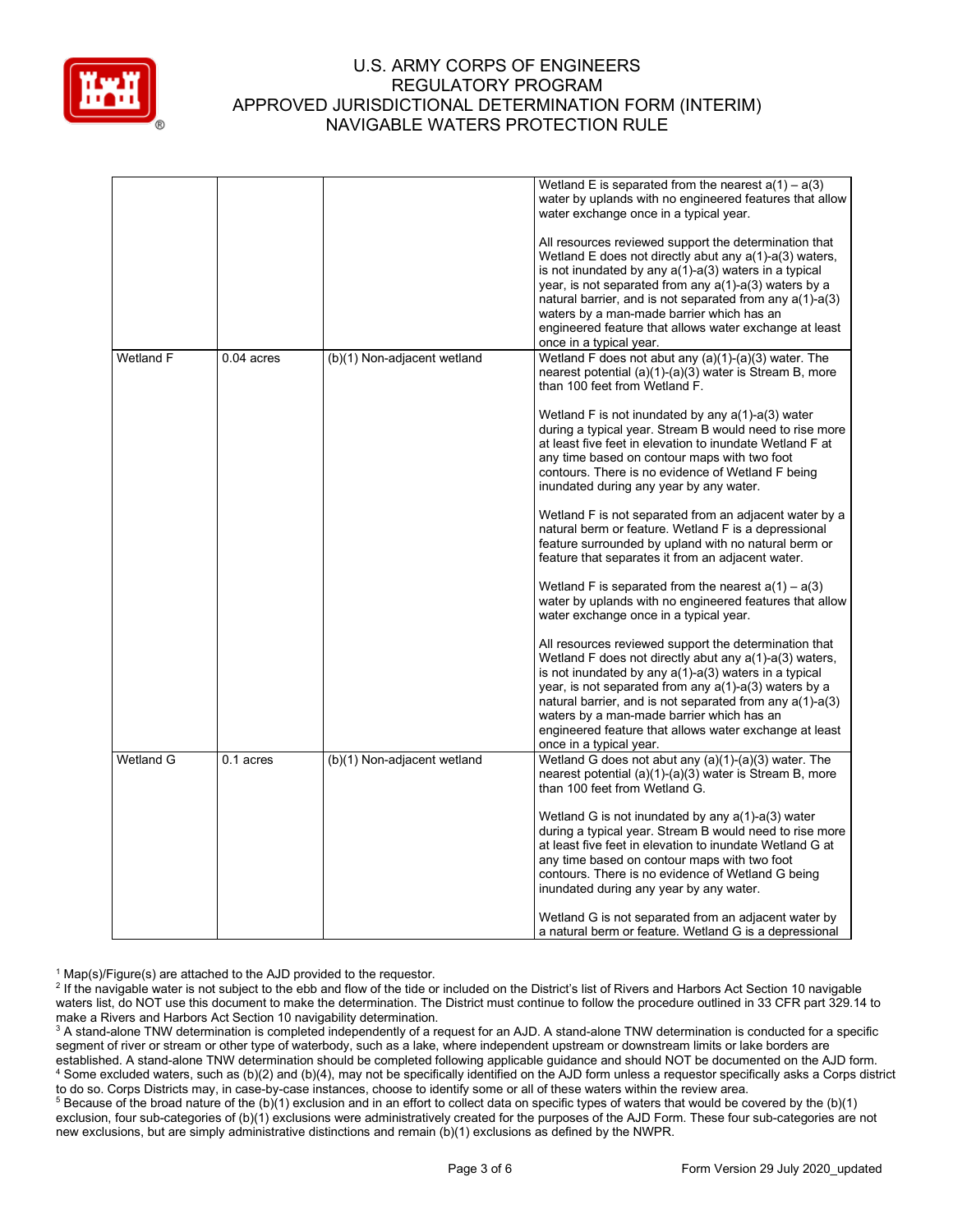

|                  |              |                             | Wetland E is separated from the nearest $a(1) - a(3)$<br>water by uplands with no engineered features that allow<br>water exchange once in a typical year.                                                                                                                                                                                                                                                                                     |
|------------------|--------------|-----------------------------|------------------------------------------------------------------------------------------------------------------------------------------------------------------------------------------------------------------------------------------------------------------------------------------------------------------------------------------------------------------------------------------------------------------------------------------------|
|                  |              |                             | All resources reviewed support the determination that<br>Wetland E does not directly abut any $a(1)$ -a(3) waters,<br>is not inundated by any $a(1)$ - $a(3)$ waters in a typical<br>year, is not separated from any $a(1)$ -a(3) waters by a<br>natural barrier, and is not separated from any $a(1)-a(3)$<br>waters by a man-made barrier which has an<br>engineered feature that allows water exchange at least<br>once in a typical year.  |
| Wetland F        | $0.04$ acres | (b)(1) Non-adjacent wetland | Wetland F does not abut any $(a)(1)-(a)(3)$ water. The<br>nearest potential (a)(1)-(a)(3) water is Stream B, more<br>than 100 feet from Wetland F.                                                                                                                                                                                                                                                                                             |
|                  |              |                             | Wetland F is not inundated by any $a(1)$ -a(3) water<br>during a typical year. Stream B would need to rise more<br>at least five feet in elevation to inundate Wetland F at<br>any time based on contour maps with two foot<br>contours. There is no evidence of Wetland F being<br>inundated during any year by any water.                                                                                                                    |
|                  |              |                             | Wetland F is not separated from an adjacent water by a<br>natural berm or feature. Wetland F is a depressional<br>feature surrounded by upland with no natural berm or<br>feature that separates it from an adjacent water.                                                                                                                                                                                                                    |
|                  |              |                             | Wetland F is separated from the nearest $a(1) - a(3)$<br>water by uplands with no engineered features that allow<br>water exchange once in a typical year.                                                                                                                                                                                                                                                                                     |
|                  |              |                             | All resources reviewed support the determination that<br>Wetland F does not directly abut any $a(1)$ - $a(3)$ waters,<br>is not inundated by any $a(1)$ - $a(3)$ waters in a typical<br>year, is not separated from any $a(1)$ -a(3) waters by a<br>natural barrier, and is not separated from any a(1)-a(3)<br>waters by a man-made barrier which has an<br>engineered feature that allows water exchange at least<br>once in a typical year. |
| <b>Wetland G</b> | 0.1 acres    | (b)(1) Non-adjacent wetland | Wetland G does not abut any (a)(1)-(a)(3) water. The<br>nearest potential (a)(1)-(a)(3) water is Stream B, more<br>than 100 feet from Wetland G.                                                                                                                                                                                                                                                                                               |
|                  |              |                             | Wetland G is not inundated by any $a(1)$ -a(3) water<br>during a typical year. Stream B would need to rise more<br>at least five feet in elevation to inundate Wetland G at<br>any time based on contour maps with two foot<br>contours. There is no evidence of Wetland G being<br>inundated during any year by any water.                                                                                                                    |
|                  |              |                             | Wetland G is not separated from an adjacent water by<br>a natural berm or feature. Wetland G is a depressional                                                                                                                                                                                                                                                                                                                                 |

 $1$  Map(s)/Figure(s) are attached to the AJD provided to the requestor.

<sup>2</sup> If the navigable water is not subject to the ebb and flow of the tide or included on the District's list of Rivers and Harbors Act Section 10 navigable waters list, do NOT use this document to make the determination. The District must continue to follow the procedure outlined in 33 CFR part 329.14 to make a Rivers and Harbors Act Section 10 navigability determination.

<sup>3</sup> A stand-alone TNW determination is completed independently of a request for an AJD. A stand-alone TNW determination is conducted for a specific segment of river or stream or other type of waterbody, such as a lake, where independent upstream or downstream limits or lake borders are established. A stand-alone TNW determination should be completed following applicable guidance and should NOT be documented on the AJD form. <sup>4</sup> Some excluded waters, such as (b)(2) and (b)(4), may not be specifically identified on the AJD form unless a requestor specifically asks a Corps district to do so. Corps Districts may, in case-by-case instances, choose to identify some or all of these waters within the review area.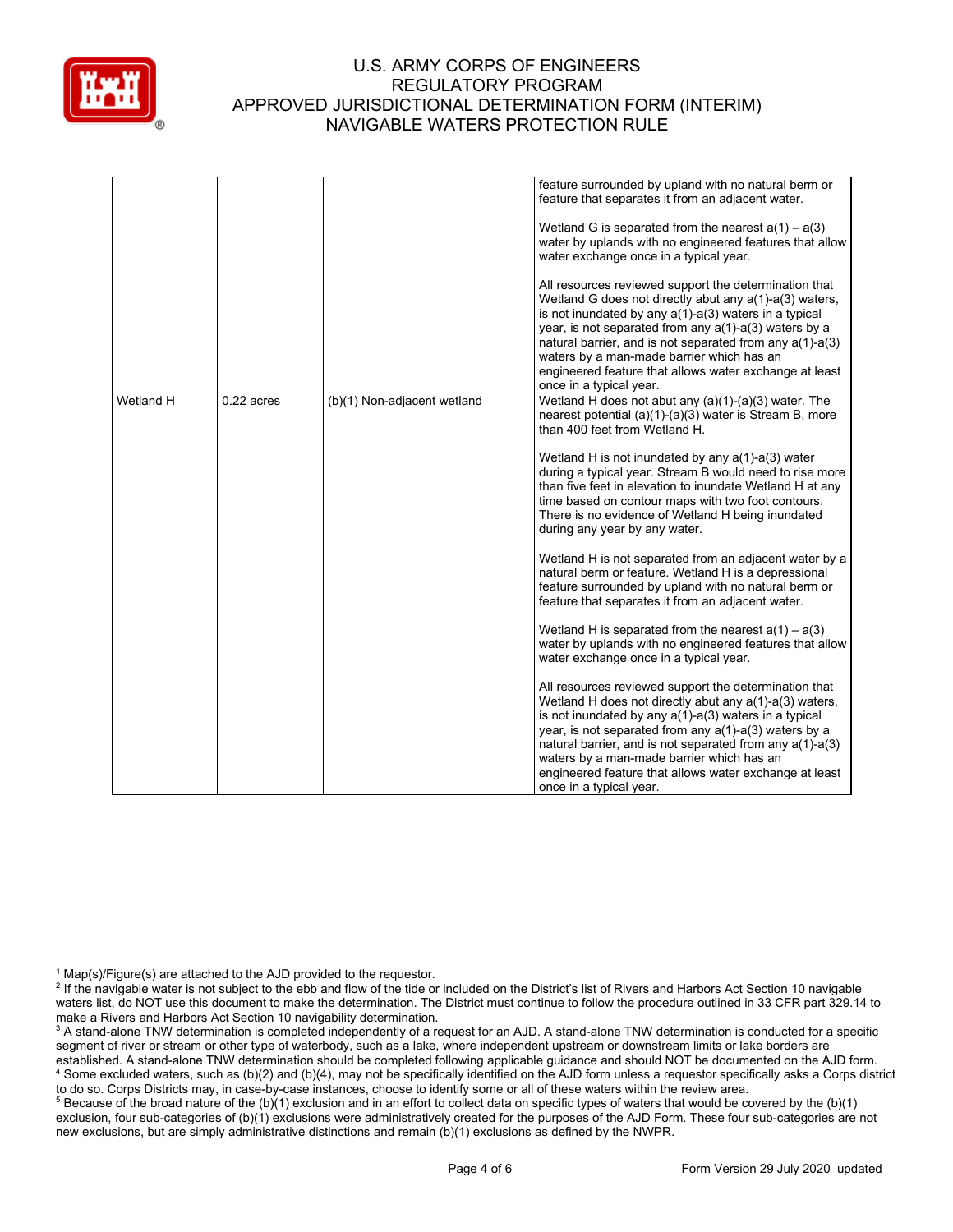

|           |              |                             | feature surrounded by upland with no natural berm or<br>feature that separates it from an adjacent water.<br>Wetland G is separated from the nearest $a(1) - a(3)$<br>water by uplands with no engineered features that allow<br>water exchange once in a typical year.<br>All resources reviewed support the determination that<br>Wetland G does not directly abut any $a(1)$ - $a(3)$ waters,<br>is not inundated by any $a(1)$ - $a(3)$ waters in a typical<br>year, is not separated from any $a(1)$ -a(3) waters by a<br>natural barrier, and is not separated from any a(1)-a(3)<br>waters by a man-made barrier which has an<br>engineered feature that allows water exchange at least<br>once in a typical year.                                                                                                                                                                                                                                                                                                                                                                                                                                                                                                                                                                                           |
|-----------|--------------|-----------------------------|---------------------------------------------------------------------------------------------------------------------------------------------------------------------------------------------------------------------------------------------------------------------------------------------------------------------------------------------------------------------------------------------------------------------------------------------------------------------------------------------------------------------------------------------------------------------------------------------------------------------------------------------------------------------------------------------------------------------------------------------------------------------------------------------------------------------------------------------------------------------------------------------------------------------------------------------------------------------------------------------------------------------------------------------------------------------------------------------------------------------------------------------------------------------------------------------------------------------------------------------------------------------------------------------------------------------|
| Wetland H | $0.22$ acres | (b)(1) Non-adjacent wetland | Wetland H does not abut any $(a)(1)-(a)(3)$ water. The<br>nearest potential (a)(1)-(a)(3) water is Stream B, more<br>than 400 feet from Wetland H.<br>Wetland H is not inundated by any $a(1)$ -a(3) water<br>during a typical year. Stream B would need to rise more<br>than five feet in elevation to inundate Wetland H at any<br>time based on contour maps with two foot contours.<br>There is no evidence of Wetland H being inundated<br>during any year by any water.<br>Wetland H is not separated from an adjacent water by a<br>natural berm or feature. Wetland H is a depressional<br>feature surrounded by upland with no natural berm or<br>feature that separates it from an adjacent water.<br>Wetland H is separated from the nearest $a(1) - a(3)$<br>water by uplands with no engineered features that allow<br>water exchange once in a typical year.<br>All resources reviewed support the determination that<br>Wetland H does not directly abut any a(1)-a(3) waters,<br>is not inundated by any $a(1)$ - $a(3)$ waters in a typical<br>year, is not separated from any a(1)-a(3) waters by a<br>natural barrier, and is not separated from any a(1)-a(3)<br>waters by a man-made barrier which has an<br>engineered feature that allows water exchange at least<br>once in a typical year. |

 $1$  Map(s)/Figure(s) are attached to the AJD provided to the requestor.

<sup>2</sup> If the navigable water is not subject to the ebb and flow of the tide or included on the District's list of Rivers and Harbors Act Section 10 navigable waters list, do NOT use this document to make the determination. The District must continue to follow the procedure outlined in 33 CFR part 329.14 to make a Rivers and Harbors Act Section 10 navigability determination.

<sup>3</sup> A stand-alone TNW determination is completed independently of a request for an AJD. A stand-alone TNW determination is conducted for a specific segment of river or stream or other type of waterbody, such as a lake, where independent upstream or downstream limits or lake borders are established. A stand-alone TNW determination should be completed following applicable guidance and should NOT be documented on the AJD form. <sup>4</sup> Some excluded waters, such as (b)(2) and (b)(4), may not be specifically identified on the AJD form unless a requestor specifically asks a Corps district to do so. Corps Districts may, in case-by-case instances, choose to identify some or all of these waters within the review area.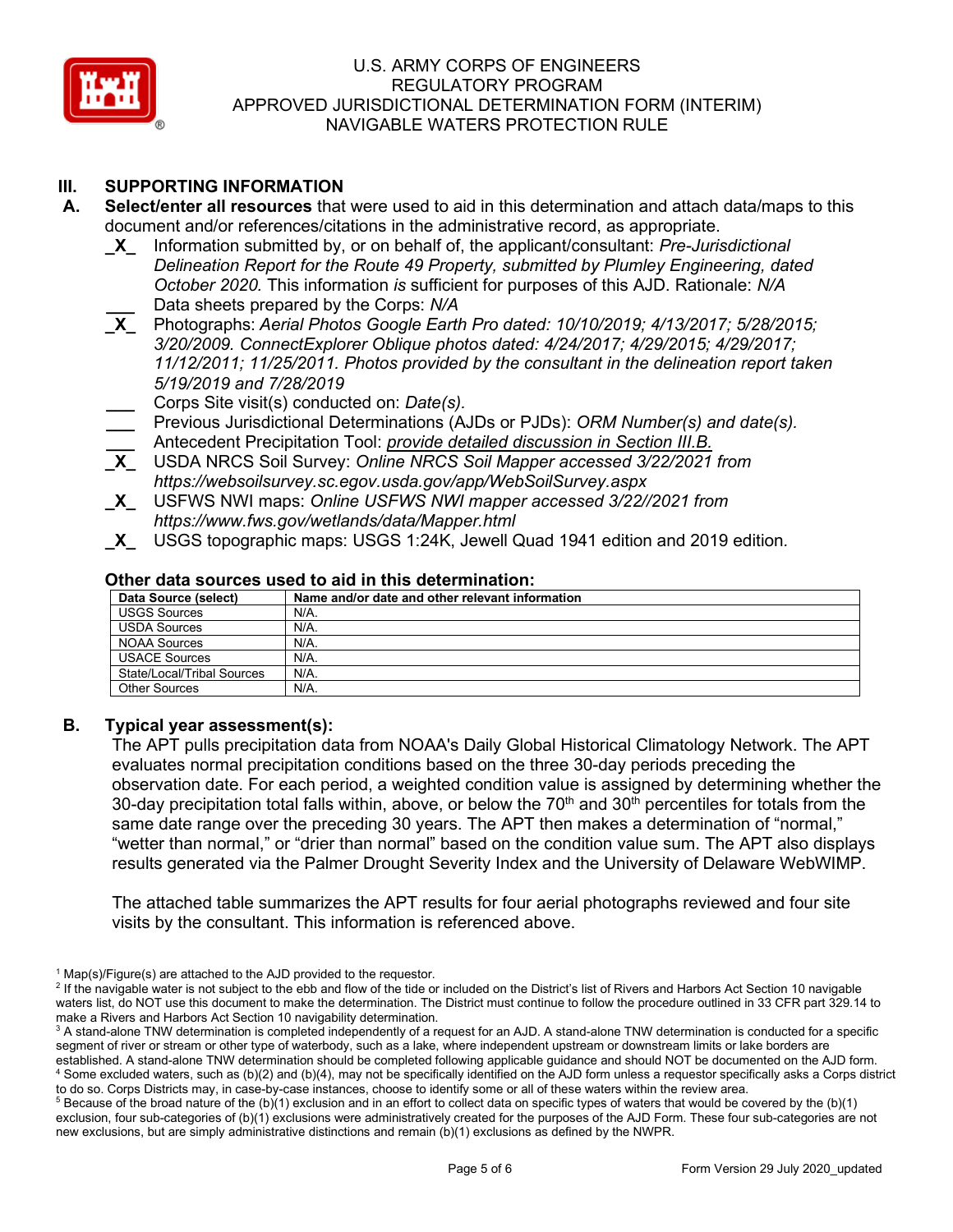

# **III. SUPPORTING INFORMATION**

- **A. Select/enter all resources** that were used to aid in this determination and attach data/maps to this document and/or references/citations in the administrative record, as appropriate.<br> **X\_** Information submitted by, or on behalf of, the applicant/consultant: *Pre-Juris* 
	- **\_X\_** Information submitted by, or on behalf of, the applicant/consultant: *Pre-Jurisdictional Delineation Report for the Route 49 Property, submitted by Plumley Engineering, dated October 2020.* This information *is* sufficient for purposes of this AJD. Rationale: *N/A*
	- **\_\_\_** Data sheets prepared by the Corps: *N/A*<br>**X** Photographs: Aerial Photos Google Eartl **\_X\_** Photographs: *Aerial Photos Google Earth Pro dated: 10/10/2019; 4/13/2017; 5/28/2015; 3/20/2009. ConnectExplorer Oblique photos dated: 4/24/2017; 4/29/2015; 4/29/2017; 11/12/2011; 11/25/2011. Photos provided by the consultant in the delineation report taken 5/19/2019 and 7/28/2019*

**\_\_\_** Corps Site visit(s) conducted on: *Date(s).*

- **\_\_\_** Previous Jurisdictional Determinations (AJDs or PJDs): *ORM Number(s) and date(s).* **\_\_\_** Antecedent Precipitation Tool: *provide detailed discussion in Section III.B.*
- **\_X\_** USDA NRCS Soil Survey: *Online NRCS Soil Mapper accessed 3/22/2021 from https://websoilsurvey.sc.egov.usda.gov/app/WebSoilSurvey.aspx*
- **\_X\_** USFWS NWI maps: *Online USFWS NWI mapper accessed 3/22//2021 from https://www.fws.gov/wetlands/data/Mapper.html*
- **\_X\_** USGS topographic maps: USGS 1:24K, Jewell Quad 1941 edition and 2019 edition*.*

| Data Source (select)       | Name and/or date and other relevant information |
|----------------------------|-------------------------------------------------|
| <b>USGS Sources</b>        | N/A.                                            |
| <b>USDA Sources</b>        | N/A.                                            |
| NOAA Sources               | N/A.                                            |
| <b>USACE Sources</b>       | N/A.                                            |
| State/Local/Tribal Sources | N/A.                                            |
| <b>Other Sources</b>       | N/A.                                            |

### **Other data sources used to aid in this determination:**

### **B. Typical year assessment(s):**

The APT pulls precipitation data from NOAA's Daily Global Historical Climatology Network. The APT evaluates normal precipitation conditions based on the three 30-day periods preceding the observation date. For each period, a weighted condition value is assigned by determining whether the 30-day precipitation total falls within, above, or below the  $70<sup>th</sup>$  and  $30<sup>th</sup>$  percentiles for totals from the same date range over the preceding 30 years. The APT then makes a determination of "normal," "wetter than normal," or "drier than normal" based on the condition value sum. The APT also displays results generated via the Palmer Drought Severity Index and the University of Delaware WebWIMP.

The attached table summarizes the APT results for four aerial photographs reviewed and four site visits by the consultant. This information is referenced above.

 $1$  Map(s)/Figure(s) are attached to the AJD provided to the requestor.

<sup>&</sup>lt;sup>2</sup> If the navigable water is not subject to the ebb and flow of the tide or included on the District's list of Rivers and Harbors Act Section 10 navigable waters list, do NOT use this document to make the determination. The District must continue to follow the procedure outlined in 33 CFR part 329.14 to make a Rivers and Harbors Act Section 10 navigability determination.

<sup>&</sup>lt;sup>3</sup> A stand-alone TNW determination is completed independently of a request for an AJD. A stand-alone TNW determination is conducted for a specific segment of river or stream or other type of waterbody, such as a lake, where independent upstream or downstream limits or lake borders are established. A stand-alone TNW determination should be completed following applicable guidance and should NOT be documented on the AJD form. <sup>4</sup> Some excluded waters, such as (b)(2) and (b)(4), may not be specifically identified on the AJD form unless a requestor specifically asks a Corps district to do so. Corps Districts may, in case-by-case instances, choose to identify some or all of these waters within the review area.

 $5$  Because of the broad nature of the (b)(1) exclusion and in an effort to collect data on specific types of waters that would be covered by the (b)(1) exclusion, four sub-categories of (b)(1) exclusions were administratively created for the purposes of the AJD Form. These four sub-categories are not new exclusions, but are simply administrative distinctions and remain (b)(1) exclusions as defined by the NWPR.